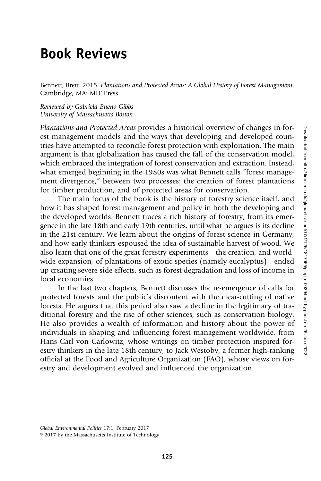## Book Reviews

Bennett, Brett. 2015. Plantations and Protected Areas: A Global History of Forest Management. Cambridge, MA: MIT Press.

Reviewed by Gabriela Bueno Gibbs University of Massachusetts Boston

Plantations and Protected Areas provides a historical overview of changes in forest management models and the ways that developing and developed countries have attempted to reconcile forest protection with exploitation. The main argument is that globalization has caused the fall of the conservation model, which embraced the integration of forest conservation and extraction. Instead, what emerged beginning in the 1980s was what Bennett calls "forest management divergence," between two processes: the creation of forest plantations for timber production, and of protected areas for conservation.

The main focus of the book is the history of forestry science itself, and how it has shaped forest management and policy in both the developing and the developed worlds. Bennett traces a rich history of forestry, from its emergence in the late 18th and early 19th centuries, until what he argues is its decline in the 21st century. We learn about the origins of forest science in Germany, and how early thinkers espoused the idea of sustainable harvest of wood. We also learn that one of the great forestry experiments—the creation, and worldwide expansion, of plantations of exotic species (namely eucalyptus)—ended up creating severe side effects, such as forest degradation and loss of income in local economies.

In the last two chapters, Bennett discusses the re-emergence of calls for protected forests and the public's discontent with the clear-cutting of native forests. He argues that this period also saw a decline in the legitimacy of traditional forestry and the rise of other sciences, such as conservation biology. He also provides a wealth of information and history about the power of individuals in shaping and influencing forest management worldwide, from Hans Carl von Carlowitz, whose writings on timber protection inspired forestry thinkers in the late 18th century, to Jack Westoby, a former high-ranking official at the Food and Agriculture Organization (FAO), whose views on forestry and development evolved and influenced the organization.

© 2017 by the Massachusetts Institute of Technology

Global Environmental Politics 17:1, February 2017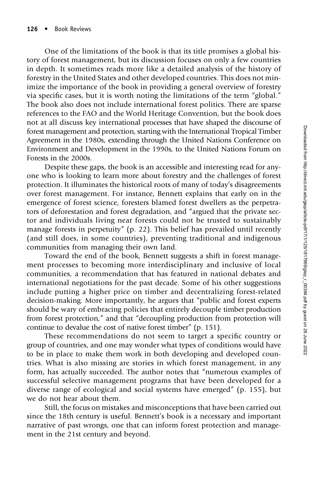One of the limitations of the book is that its title promises a global history of forest management, but its discussion focuses on only a few countries in depth. It sometimes reads more like a detailed analysis of the history of forestry in the United States and other developed countries. This does not minimize the importance of the book in providing a general overview of forestry via specific cases, but it is worth noting the limitations of the term "global." The book also does not include international forest politics. There are sparse references to the FAO and the World Heritage Convention, but the book does not at all discuss key international processes that have shaped the discourse of forest management and protection, starting with the International Tropical Timber Agreement in the 1980s, extending through the United Nations Conference on Environment and Development in the 1990s, to the United Nations Forum on Forests in the 2000s.

Despite these gaps, the book is an accessible and interesting read for anyone who is looking to learn more about forestry and the challenges of forest protection. It illuminates the historical roots of many of today's disagreements over forest management. For instance, Bennett explains that early on in the emergence of forest science, foresters blamed forest dwellers as the perpetrators of deforestation and forest degradation, and "argued that the private sector and individuals living near forests could not be trusted to sustainably manage forests in perpetuity" (p. 22). This belief has prevailed until recently (and still does, in some countries), preventing traditional and indigenous communities from managing their own land.

Toward the end of the book, Bennett suggests a shift in forest management processes to becoming more interdisciplinary and inclusive of local communities, a recommendation that has featured in national debates and international negotiations for the past decade. Some of his other suggestions include putting a higher price on timber and decentralizing forest-related decision-making. More importantly, he argues that "public and forest experts should be wary of embracing policies that entirely decouple timber production from forest protection," and that "decoupling production from protection will continue to devalue the cost of native forest timber" (p. 151).

These recommendations do not seem to target a specific country or group of countries, and one may wonder what types of conditions would have to be in place to make them work in both developing and developed countries. What is also missing are stories in which forest management, in any form, has actually succeeded. The author notes that "numerous examples of successful selective management programs that have been developed for a diverse range of ecological and social systems have emerged" (p. 155), but we do not hear about them.

Still, the focus on mistakes and misconceptions that have been carried out since the 18th century is useful. Bennett's book is a necessary and important narrative of past wrongs, one that can inform forest protection and management in the 21st century and beyond.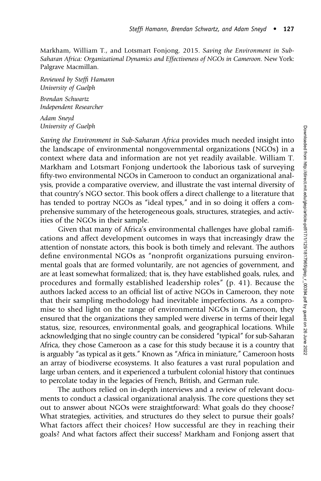Markham, William T., and Lotsmart Fonjong. 2015. Saving the Environment in Sub-Saharan Africa: Organizational Dynamics and Effectiveness of NGOs in Cameroon. New York: Palgrave Macmillan.

Reviewed by Steffi Hamann University of Guelph

Brendan Schwartz Independent Researcher

Adam Sneyd University of Guelph

Saving the Environment in Sub-Saharan Africa provides much needed insight into the landscape of environmental nongovernmental organizations (NGOs) in a context where data and information are not yet readily available. William T. Markham and Lotsmart Fonjong undertook the laborious task of surveying fifty-two environmental NGOs in Cameroon to conduct an organizational analysis, provide a comparative overview, and illustrate the vast internal diversity of that country's NGO sector. This book offers a direct challenge to a literature that has tended to portray NGOs as "ideal types," and in so doing it offers a comprehensive summary of the heterogeneous goals, structures, strategies, and activities of the NGOs in their sample.

Given that many of Africa's environmental challenges have global ramifications and affect development outcomes in ways that increasingly draw the attention of nonstate actors, this book is both timely and relevant. The authors define environmental NGOs as "nonprofit organizations pursuing environmental goals that are formed voluntarily, are not agencies of government, and are at least somewhat formalized; that is, they have established goals, rules, and procedures and formally established leadership roles" (p. 41). Because the authors lacked access to an official list of active NGOs in Cameroon, they note that their sampling methodology had inevitable imperfections. As a compromise to shed light on the range of environmental NGOs in Cameroon, they ensured that the organizations they sampled were diverse in terms of their legal status, size, resources, environmental goals, and geographical locations. While acknowledging that no single country can be considered "typical" for sub-Saharan Africa, they chose Cameroon as a case for this study because it is a country that is arguably "as typical as it gets." Known as "Africa in miniature," Cameroon hosts an array of biodiverse ecosystems. It also features a vast rural population and large urban centers, and it experienced a turbulent colonial history that continues to percolate today in the legacies of French, British, and German rule.

The authors relied on in-depth interviews and a review of relevant documents to conduct a classical organizational analysis. The core questions they set out to answer about NGOs were straightforward: What goals do they choose? What strategies, activities, and structures do they select to pursue their goals? What factors affect their choices? How successful are they in reaching their goals? And what factors affect their success? Markham and Fonjong assert that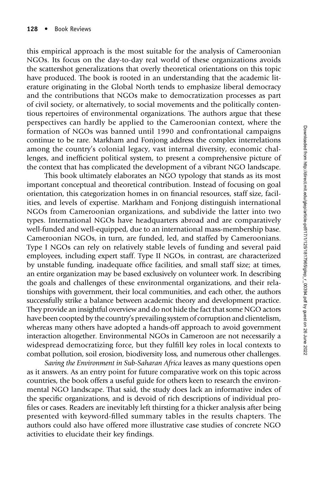this empirical approach is the most suitable for the analysis of Cameroonian NGOs. Its focus on the day-to-day real world of these organizations avoids the scattershot generalizations that overly theoretical orientations on this topic have produced. The book is rooted in an understanding that the academic literature originating in the Global North tends to emphasize liberal democracy and the contributions that NGOs make to democratization processes as part of civil society, or alternatively, to social movements and the politically contentious repertoires of environmental organizations. The authors argue that these perspectives can hardly be applied to the Cameroonian context, where the formation of NGOs was banned until 1990 and confrontational campaigns continue to be rare. Markham and Fonjong address the complex interrelations among the country's colonial legacy, vast internal diversity, economic challenges, and inefficient political system, to present a comprehensive picture of the context that has complicated the development of a vibrant NGO landscape.

This book ultimately elaborates an NGO typology that stands as its most important conceptual and theoretical contribution. Instead of focusing on goal orientation, this categorization homes in on financial resources, staff size, facilities, and levels of expertise. Markham and Fonjong distinguish international NGOs from Cameroonian organizations, and subdivide the latter into two types. International NGOs have headquarters abroad and are comparatively well-funded and well-equipped, due to an international mass-membership base. Cameroonian NGOs, in turn, are funded, led, and staffed by Cameroonians. Type I NGOs can rely on relatively stable levels of funding and several paid employees, including expert staff. Type II NGOs, in contrast, are characterized by unstable funding, inadequate office facilities, and small staff size; at times, an entire organization may be based exclusively on volunteer work. In describing the goals and challenges of these environmental organizations, and their relationships with government, their local communities, and each other, the authors successfully strike a balance between academic theory and development practice. They provide an insightful overview and do not hide the fact that some NGO actors have been coopted by the country's prevailing system of corruption and clientelism, whereas many others have adopted a hands-off approach to avoid government interaction altogether. Environmental NGOs in Cameroon are not necessarily a widespread democratizing force, but they fulfill key roles in local contexts to combat pollution, soil erosion, biodiversity loss, and numerous other challenges.

Saving the Environment in Sub-Saharan Africa leaves as many questions open as it answers. As an entry point for future comparative work on this topic across countries, the book offers a useful guide for others keen to research the environmental NGO landscape. That said, the study does lack an informative index of the specific organizations, and is devoid of rich descriptions of individual profiles or cases. Readers are inevitably left thirsting for a thicker analysis after being presented with keyword-filled summary tables in the results chapters. The authors could also have offered more illustrative case studies of concrete NGO activities to elucidate their key findings.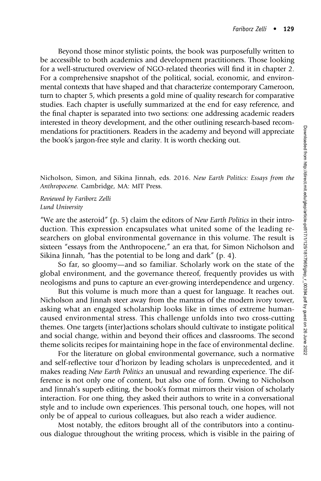Beyond those minor stylistic points, the book was purposefully written to be accessible to both academics and development practitioners. Those looking for a well-structured overview of NGO-related theories will find it in chapter 2. For a comprehensive snapshot of the political, social, economic, and environmental contexts that have shaped and that characterize contemporary Cameroon, turn to chapter 5, which presents a gold mine of quality research for comparative studies. Each chapter is usefully summarized at the end for easy reference, and the final chapter is separated into two sections: one addressing academic readers interested in theory development, and the other outlining research-based recommendations for practitioners. Readers in the academy and beyond will appreciate the book's jargon-free style and clarity. It is worth checking out.

Nicholson, Simon, and Sikina Jinnah, eds. 2016. New Earth Politics: Essays from the Anthropocene. Cambridge, MA: MIT Press.

Reviewed by Fariborz Zelli Lund University

"We are the asteroid" (p. 5) claim the editors of *New Earth Politics* in their introduction. This expression encapsulates what united some of the leading researchers on global environmental governance in this volume. The result is sixteen "essays from the Anthropocene," an era that, for Simon Nicholson and Sikina Jinnah, "has the potential to be long and dark" (p. 4).

So far, so gloomy—and so familiar. Scholarly work on the state of the global environment, and the governance thereof, frequently provides us with neologisms and puns to capture an ever-growing interdependence and urgency.

But this volume is much more than a quest for language. It reaches out. Nicholson and Jinnah steer away from the mantras of the modern ivory tower, asking what an engaged scholarship looks like in times of extreme humancaused environmental stress. This challenge unfolds into two cross-cutting themes. One targets (inter)actions scholars should cultivate to instigate political and social change, within and beyond their offices and classrooms. The second theme solicits recipes for maintaining hope in the face of environmental decline.

For the literature on global environmental governance, such a normative and self-reflective tour d'horizon by leading scholars is unprecedented, and it makes reading New Earth Politics an unusual and rewarding experience. The difference is not only one of content, but also one of form. Owing to Nicholson and Jinnah's superb editing, the book's format mirrors their vision of scholarly interaction. For one thing, they asked their authors to write in a conversational style and to include own experiences. This personal touch, one hopes, will not only be of appeal to curious colleagues, but also reach a wider audience.

Most notably, the editors brought all of the contributors into a continuous dialogue throughout the writing process, which is visible in the pairing of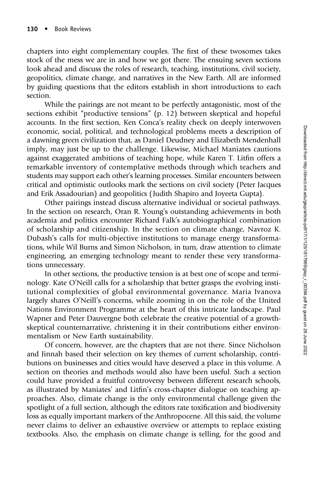chapters into eight complementary couples. The first of these twosomes takes stock of the mess we are in and how we got there. The ensuing seven sections look ahead and discuss the roles of research, teaching, institutions, civil society, geopolitics, climate change, and narratives in the New Earth. All are informed by guiding questions that the editors establish in short introductions to each section.

While the pairings are not meant to be perfectly antagonistic, most of the sections exhibit "productive tensions" (p. 12) between skeptical and hopeful accounts. In the first section, Ken Conca's reality check on deeply interwoven economic, social, political, and technological problems meets a description of a dawning green civilization that, as Daniel Deudney and Elizabeth Mendenhall imply, may just be up to the challenge. Likewise, Michael Maniates cautions against exaggerated ambitions of teaching hope, while Karen T. Litfin offers a remarkable inventory of contemplative methods through which teachers and students may support each other's learning processes. Similar encounters between critical and optimistic outlooks mark the sections on civil society (Peter Jacques and Erik Assadourian) and geopolitics ( Judith Shapiro and Joyeeta Gupta).

Other pairings instead discuss alternative individual or societal pathways. In the section on research, Oran R. Young's outstanding achievements in both academia and politics encounter Richard Falk's autobiographical combination of scholarship and citizenship. In the section on climate change, Navroz K. Dubash's calls for multi-objective institutions to manage energy transformations, while Wil Burns and Simon Nicholson, in turn, draw attention to climate engineering, an emerging technology meant to render these very transformations unnecessary.

In other sections, the productive tension is at best one of scope and terminology. Kate O'Neill calls for a scholarship that better grasps the evolving institutional complexities of global environmental governance. Maria Ivanova largely shares O'Neill's concerns, while zooming in on the role of the United Nations Environment Programme at the heart of this intricate landscape. Paul Wapner and Peter Dauvergne both celebrate the creative potential of a growthskeptical counternarrative, christening it in their contributions either environmentalism or New Earth sustainability.

Of concern, however, are the chapters that are not there. Since Nicholson and Jinnah based their selection on key themes of current scholarship, contributions on businesses and cities would have deserved a place in this volume. A section on theories and methods would also have been useful. Such a section could have provided a fruitful controversy between different research schools, as illustrated by Maniates' and Litfin's cross-chapter dialogue on teaching approaches. Also, climate change is the only environmental challenge given the spotlight of a full section, although the editors rate toxification and biodiversity loss as equally important markers of the Anthropocene. All this said, the volume never claims to deliver an exhaustive overview or attempts to replace existing textbooks. Also, the emphasis on climate change is telling, for the good and